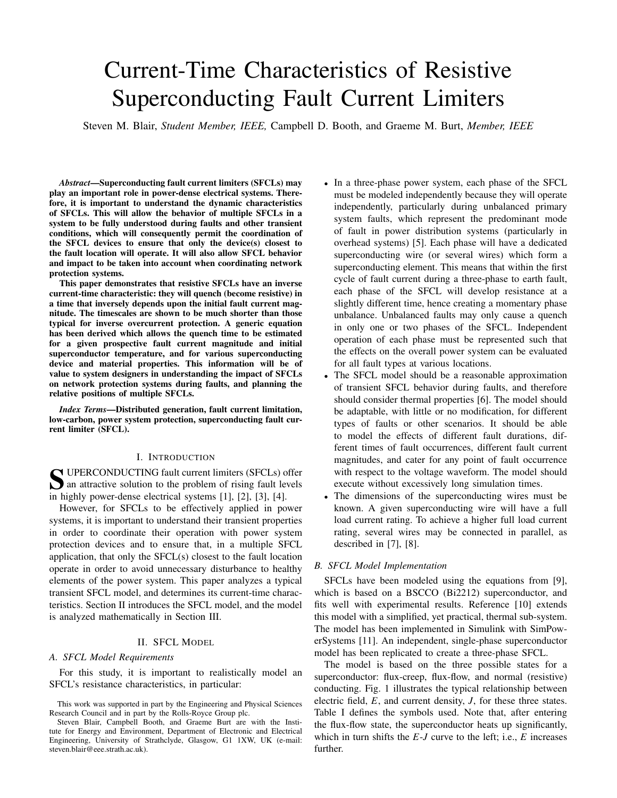# Current-Time Characteristics of Resistive Superconducting Fault Current Limiters

Steven M. Blair, *Student Member, IEEE,* Campbell D. Booth, and Graeme M. Burt, *Member, IEEE*

*Abstract*—Superconducting fault current limiters (SFCLs) may play an important role in power-dense electrical systems. Therefore, it is important to understand the dynamic characteristics of SFCLs. This will allow the behavior of multiple SFCLs in a system to be fully understood during faults and other transient conditions, which will consequently permit the coordination of the SFCL devices to ensure that only the device(s) closest to the fault location will operate. It will also allow SFCL behavior and impact to be taken into account when coordinating network protection systems.

This paper demonstrates that resistive SFCLs have an inverse current-time characteristic: they will quench (become resistive) in a time that inversely depends upon the initial fault current magnitude. The timescales are shown to be much shorter than those typical for inverse overcurrent protection. A generic equation has been derived which allows the quench time to be estimated for a given prospective fault current magnitude and initial superconductor temperature, and for various superconducting device and material properties. This information will be of value to system designers in understanding the impact of SFCLs on network protection systems during faults, and planning the relative positions of multiple SFCLs.

*Index Terms*—Distributed generation, fault current limitation, low-carbon, power system protection, superconducting fault current limiter (SFCL).

#### I. INTRODUCTION

SUPERCONDUCTING fault current limiters (SFCLs) offer<br>an attractive solution to the problem of rising fault levels an attractive solution to the problem of rising fault levels in highly power-dense electrical systems [1], [2], [3], [4].

However, for SFCLs to be effectively applied in power systems, it is important to understand their transient properties in order to coordinate their operation with power system protection devices and to ensure that, in a multiple SFCL application, that only the SFCL(s) closest to the fault location operate in order to avoid unnecessary disturbance to healthy elements of the power system. This paper analyzes a typical transient SFCL model, and determines its current-time characteristics. Section II introduces the SFCL model, and the model is analyzed mathematically in Section III.

# II. SFCL MODEL

#### *A. SFCL Model Requirements*

For this study, it is important to realistically model an SFCL's resistance characteristics, in particular:

- In a three-phase power system, each phase of the SFCL must be modeled independently because they will operate independently, particularly during unbalanced primary system faults, which represent the predominant mode of fault in power distribution systems (particularly in overhead systems) [5]. Each phase will have a dedicated superconducting wire (or several wires) which form a superconducting element. This means that within the first cycle of fault current during a three-phase to earth fault, each phase of the SFCL will develop resistance at a slightly different time, hence creating a momentary phase unbalance. Unbalanced faults may only cause a quench in only one or two phases of the SFCL. Independent operation of each phase must be represented such that the effects on the overall power system can be evaluated for all fault types at various locations.
- The SFCL model should be a reasonable approximation of transient SFCL behavior during faults, and therefore should consider thermal properties [6]. The model should be adaptable, with little or no modification, for different types of faults or other scenarios. It should be able to model the effects of different fault durations, different times of fault occurrences, different fault current magnitudes, and cater for any point of fault occurrence with respect to the voltage waveform. The model should execute without excessively long simulation times.
- The dimensions of the superconducting wires must be known. A given superconducting wire will have a full load current rating. To achieve a higher full load current rating, several wires may be connected in parallel, as described in [7], [8].

#### *B. SFCL Model Implementation*

SFCLs have been modeled using the equations from [9], which is based on a BSCCO (Bi2212) superconductor, and fits well with experimental results. Reference [10] extends this model with a simplified, yet practical, thermal sub-system. The model has been implemented in Simulink with SimPowerSystems [11]. An independent, single-phase superconductor model has been replicated to create a three-phase SFCL.

The model is based on the three possible states for a superconductor: flux-creep, flux-flow, and normal (resistive) conducting. Fig. 1 illustrates the typical relationship between electric field, *E*, and current density, *J*, for these three states. Table I defines the symbols used. Note that, after entering the flux-flow state, the superconductor heats up significantly, which in turn shifts the *E*-*J* curve to the left; i.e., *E* increases further.

This work was supported in part by the Engineering and Physical Sciences Research Council and in part by the Rolls-Royce Group plc.

Steven Blair, Campbell Booth, and Graeme Burt are with the Institute for Energy and Environment, Department of Electronic and Electrical Engineering, University of Strathclyde, Glasgow, G1 1XW, UK (e-mail: steven.blair@eee.strath.ac.uk).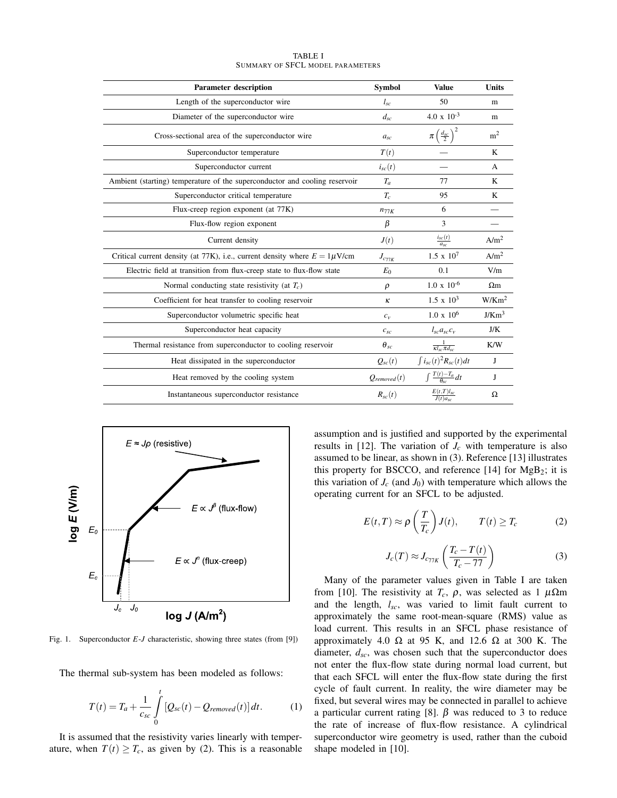| <b>Parameter description</b>                                                   | <b>Symbol</b>    | <b>Value</b>                              | <b>Units</b>      |
|--------------------------------------------------------------------------------|------------------|-------------------------------------------|-------------------|
| Length of the superconductor wire                                              | $l_{sc}$         | 50                                        | m                 |
| Diameter of the superconductor wire                                            | $d_{sc}$         | $4.0 \times 10^{-3}$                      | m                 |
| Cross-sectional area of the superconductor wire                                | $a_{sc}$         | $\pi\left(\frac{d_{\text{sc}}}{2}\right)$ | m <sup>2</sup>    |
| Superconductor temperature                                                     | T(t)             |                                           | K                 |
| Superconductor current                                                         | $i_{sc}(t)$      |                                           | A                 |
| Ambient (starting) temperature of the superconductor and cooling reservoir     | $T_a$            | 77                                        | K                 |
| Superconductor critical temperature                                            | $T_c$            | 95                                        | K                 |
| Flux-creep region exponent (at 77K)                                            | $n_{77K}$        | 6                                         |                   |
| Flux-flow region exponent                                                      | β                | 3                                         |                   |
| Current density                                                                | J(t)             | $\frac{i_{sc}(t)}{a_{sc}}$                | A/m <sup>2</sup>  |
| Critical current density (at 77K), i.e., current density where $E = 1\mu V/cm$ | $J_{c_{77K}}$    | $1.5 \times 10^7$                         | A/m <sup>2</sup>  |
| Electric field at transition from flux-creep state to flux-flow state          | $E_0$            | 0.1                                       | V/m               |
| Normal conducting state resistivity (at $T_c$ )                                | $\rho$           | $1.0 \times 10^{-6}$                      | $\Omega$ m        |
| Coefficient for heat transfer to cooling reservoir                             | $\kappa$         | $1.5 \times 10^3$                         | W/Km <sup>2</sup> |
| Superconductor volumetric specific heat                                        | $c_v$            | $1.0 \times 10^6$                         | J/Km <sup>3</sup> |
| Superconductor heat capacity                                                   | $c_{sc}$         | $l_{sc}a_{sc}c_v$                         | J/K               |
| Thermal resistance from superconductor to cooling reservoir                    | $\theta_{sc}$    | $\frac{1}{\kappa l_{sc} \pi d_{sc}}$      | K/W               |
| Heat dissipated in the superconductor                                          | $Q_{sc}(t)$      | $\int i_{sc}(t)^2 R_{sc}(t) dt$           | J                 |
| Heat removed by the cooling system                                             | $Q_{removed}(t)$ | $\int \frac{T(t)-T_a}{\theta_{sc}}dt$     | J                 |
| Instantaneous superconductor resistance                                        | $R_{sc}(t)$      | $\frac{E(t,T)l_{sc}}{J(t)a_{sc}}$         | Ω                 |

TABLE I SUMMARY OF SFCL MODEL PARAMETERS



Fig. 1. Superconductor *E*-*J* characteristic, showing three states (from [9])

The thermal sub-system has been modeled as follows:

$$
T(t) = T_a + \frac{1}{c_{sc}} \int\limits_0^t \left[ Q_{sc}(t) - Q_{removed}(t) \right] dt.
$$
 (1)

It is assumed that the resistivity varies linearly with temperature, when  $T(t) \geq T_c$ , as given by (2). This is a reasonable assumption and is justified and supported by the experimental results in [12]. The variation of  $J_c$  with temperature is also assumed to be linear, as shown in (3). Reference [13] illustrates this property for BSCCO, and reference  $[14]$  for  $MgB_2$ ; it is this variation of  $J_c$  (and  $J_0$ ) with temperature which allows the operating current for an SFCL to be adjusted.

$$
E(t,T) \approx \rho \left(\frac{T}{T_c}\right) J(t), \qquad T(t) \ge T_c \tag{2}
$$

$$
J_c(T) \approx J_{c_{77K}} \left( \frac{T_c - T(t)}{T_c - 77} \right)
$$
 (3)

Many of the parameter values given in Table I are taken from [10]. The resistivity at  $T_c$ ,  $\rho$ , was selected as 1  $\mu\Omega$ m and the length, *lsc*, was varied to limit fault current to approximately the same root-mean-square (RMS) value as load current. This results in an SFCL phase resistance of approximately 4.0  $\Omega$  at 95 K, and 12.6  $\Omega$  at 300 K. The diameter,  $d_{sc}$ , was chosen such that the superconductor does not enter the flux-flow state during normal load current, but that each SFCL will enter the flux-flow state during the first cycle of fault current. In reality, the wire diameter may be fixed, but several wires may be connected in parallel to achieve a particular current rating [8]. β was reduced to 3 to reduce the rate of increase of flux-flow resistance. A cylindrical superconductor wire geometry is used, rather than the cuboid shape modeled in [10].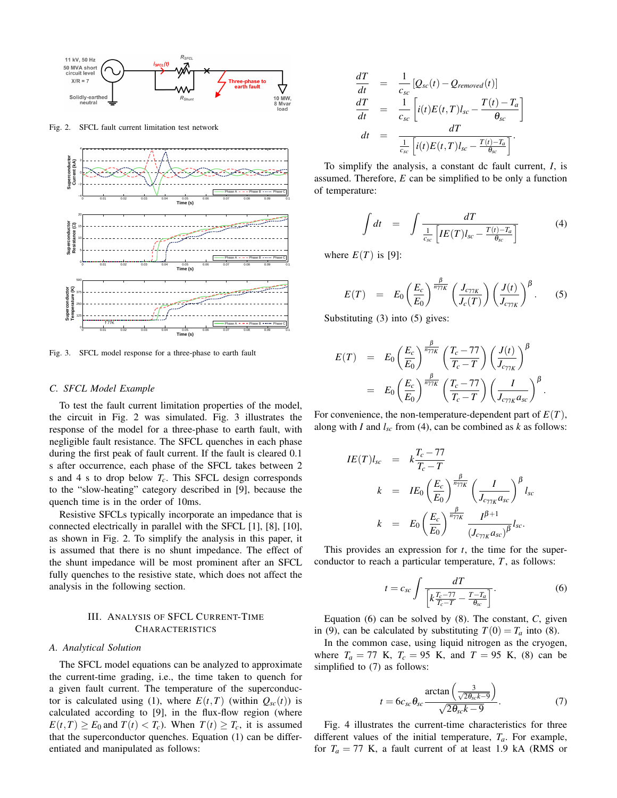

Fig. 2. SFCL fault current limitation test network



Fig. 3. SFCL model response for a three-phase to earth fault

# *C. SFCL Model Example*

To test the fault current limitation properties of the model, the circuit in Fig. 2 was simulated. Fig. 3 illustrates the response of the model for a three-phase to earth fault, with negligible fault resistance. The SFCL quenches in each phase during the first peak of fault current. If the fault is cleared 0.1 s after occurrence, each phase of the SFCL takes between 2 s and 4 s to drop below *Tc*. This SFCL design corresponds to the "slow-heating" category described in [9], because the quench time is in the order of 10ms.

Resistive SFCLs typically incorporate an impedance that is connected electrically in parallel with the SFCL [1], [8], [10], as shown in Fig. 2. To simplify the analysis in this paper, it is assumed that there is no shunt impedance. The effect of the shunt impedance will be most prominent after an SFCL fully quenches to the resistive state, which does not affect the analysis in the following section.

# III. ANALYSIS OF SFCL CURRENT-TIME **CHARACTERISTICS**

# *A. Analytical Solution*

The SFCL model equations can be analyzed to approximate the current-time grading, i.e., the time taken to quench for a given fault current. The temperature of the superconductor is calculated using (1), where  $E(t,T)$  (within  $Q_{sc}(t)$ ) is calculated according to [9], in the flux-flow region (where  $E(t,T) \ge E_0$  and  $T(t) < T_c$ ). When  $T(t) \ge T_c$ , it is assumed that the superconductor quenches. Equation (1) can be differentiated and manipulated as follows:

$$
\frac{dT}{dt} = \frac{1}{c_{sc}} [Q_{sc}(t) - Q_{removed}(t)]
$$
\n
$$
\frac{dT}{dt} = \frac{1}{c_{sc}} \left[ i(t)E(t,T)l_{sc} - \frac{T(t) - T_a}{\theta_{sc}} \right]
$$
\n
$$
dt = \frac{dT}{\frac{1}{c_{sc}} \left[ i(t)E(t,T)l_{sc} - \frac{T(t) - T_a}{\theta_{sc}} \right]}.
$$

To simplify the analysis, a constant dc fault current, *I*, is assumed. Therefore, *E* can be simplified to be only a function of temperature:

$$
\int dt = \int \frac{dT}{\frac{1}{c_{sc}} \left[ IE(T) l_{sc} - \frac{T(t) - T_a}{\theta_{sc}} \right]}
$$
(4)

where  $E(T)$  is [9]:

$$
E(T) = E_0 \left(\frac{E_c}{E_0}\right)^{\frac{\beta}{n_{77K}}} \left(\frac{J_{c_{77K}}}{J_c(T)}\right) \left(\frac{J(t)}{J_{c_{77K}}}\right)^{\beta}.
$$
 (5)

Substituting (3) into (5) gives:

$$
E(T) = E_0 \left(\frac{E_c}{E_0}\right)^{\frac{\beta}{n_{77K}}} \left(\frac{T_c - 77}{T_c - T}\right) \left(\frac{J(t)}{J_{c_{77K}}}\right)^{\beta}
$$
  
= 
$$
E_0 \left(\frac{E_c}{E_0}\right)^{\frac{\beta}{n_{77K}}} \left(\frac{T_c - 77}{T_c - T}\right) \left(\frac{I}{J_{c_{77K}}a_{sc}}\right)^{\beta}.
$$

For convenience, the non-temperature-dependent part of *E*(*T*), along with *I* and  $l_{sc}$  from (4), can be combined as  $k$  as follows:

$$
IE(T)l_{sc} = k \frac{T_c - 77}{T_c - T}
$$
  
\n
$$
k = IE_0 \left(\frac{E_c}{E_0}\right)^{\frac{\beta}{n_{77K}}} \left(\frac{I}{J_{c_{77K}}a_{sc}}\right)^{\beta} l_{sc}
$$
  
\n
$$
k = E_0 \left(\frac{E_c}{E_0}\right)^{\frac{\beta}{n_{77K}}} \frac{I^{\beta+1}}{(J_{c_{77K}}a_{sc})^{\beta}} l_{sc}.
$$

This provides an expression for *t*, the time for the superconductor to reach a particular temperature, *T*, as follows:

$$
t = c_{sc} \int \frac{dT}{\left[k \frac{T_c - 77}{T_c - T} - \frac{T - T_a}{\theta_{sc}}\right]}.
$$
 (6)

Equation (6) can be solved by (8). The constant, *C*, given in (9), can be calculated by substituting  $T(0) = T_a$  into (8).

In the common case, using liquid nitrogen as the cryogen, where  $T_a = 77$  K,  $T_c = 95$  K, and  $T = 95$  K, (8) can be simplified to (7) as follows:

$$
t = 6c_{sc}\theta_{sc}\frac{\arctan\left(\frac{3}{\sqrt{2\theta_{sc}k - 9}}\right)}{\sqrt{2\theta_{sc}k - 9}}.
$$
 (7)

Fig. 4 illustrates the current-time characteristics for three different values of the initial temperature,  $T_a$ . For example, for  $T_a = 77$  K, a fault current of at least 1.9 kA (RMS or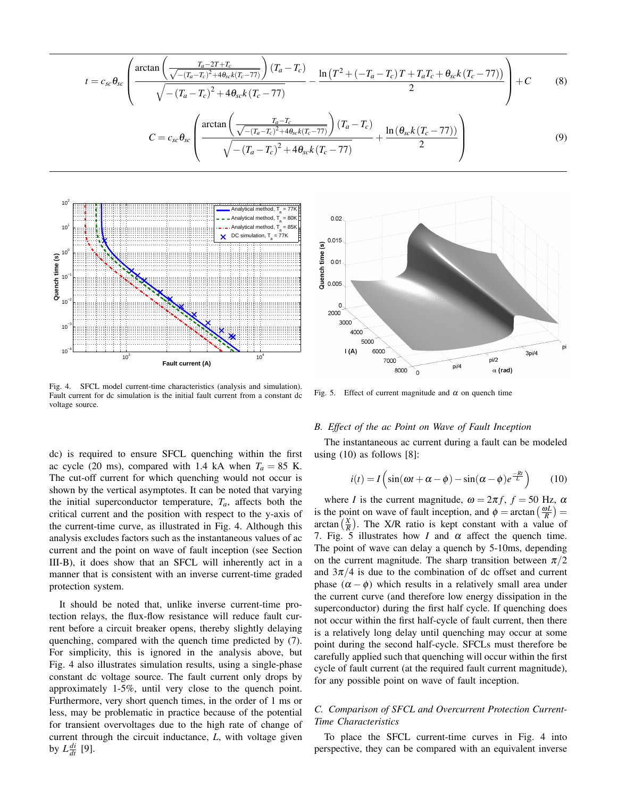$$
t = c_{sc} \theta_{sc} \left( \frac{\arctan\left(\frac{T_a - 2T + T_c}{\sqrt{-(T_a - T_c)^2 + 4\theta_{sc}k(T_c - 77)}}\right)(T_a - T_c)}{\sqrt{-(T_a - T_c)^2 + 4\theta_{sc}k(T_c - 77)}} - \frac{\ln\left(T^2 + (-T_a - T_c)T + T_aT_c + \theta_{sc}k(T_c - 77)\right)}{2} \right) + C \tag{8}
$$
  

$$
C = c_{sc} \theta_{sc} \left( \frac{\arctan\left(\frac{T_a - T_c}{\sqrt{-(T_a - T_c)^2 + 4\theta_{sc}k(T_c - 77)}}\right)(T_a - T_c)}{\sqrt{-(T_a - T_c)^2 + 4\theta_{sc}k(T_c - 77)}} + \frac{\ln\left(\theta_{sc}k(T_c - 77)\right)}{2} \right)
$$



Fig. 4. SFCL model current-time characteristics (analysis and simulation). Fault current for dc simulation is the initial fault current from a constant dc voltage source.

dc) is required to ensure SFCL quenching within the first ac cycle (20 ms), compared with 1.4 kA when  $T_a = 85$  K. The cut-off current for which quenching would not occur is shown by the vertical asymptotes. It can be noted that varying the initial superconductor temperature,  $T_a$ , affects both the critical current and the position with respect to the y-axis of the current-time curve, as illustrated in Fig. 4. Although this analysis excludes factors such as the instantaneous values of ac current and the point on wave of fault inception (see Section III-B), it does show that an SFCL will inherently act in a manner that is consistent with an inverse current-time graded protection system.

It should be noted that, unlike inverse current-time protection relays, the flux-flow resistance will reduce fault current before a circuit breaker opens, thereby slightly delaying quenching, compared with the quench time predicted by (7). For simplicity, this is ignored in the analysis above, but Fig. 4 also illustrates simulation results, using a single-phase constant dc voltage source. The fault current only drops by approximately 1-5%, until very close to the quench point. Furthermore, very short quench times, in the order of 1 ms or less, may be problematic in practice because of the potential for transient overvoltages due to the high rate of change of current through the circuit inductance, *L*, with voltage given by  $L \frac{di}{dt}$  [9].



Fig. 5. Effect of current magnitude and  $\alpha$  on quench time

# *B. Effect of the ac Point on Wave of Fault Inception*

The instantaneous ac current during a fault can be modeled using (10) as follows [8]:

$$
i(t) = I\left(\sin(\omega t + \alpha - \phi) - \sin(\alpha - \phi)e^{\frac{-Rt}{L}}\right) \tag{10}
$$

where *I* is the current magnitude,  $\omega = 2\pi f$ ,  $f = 50$  Hz,  $\alpha$ is the point on wave of fault inception, and  $\phi = \arctan\left(\frac{\omega L}{R}\right)$ arctan  $\left(\frac{X}{R}\right)$ . The X/R ratio is kept constant with a value of 7. Fig. 5 illustrates how *I* and  $\alpha$  affect the quench time. The point of wave can delay a quench by 5-10ms, depending on the current magnitude. The sharp transition between  $\pi/2$ and  $3\pi/4$  is due to the combination of dc offset and current phase  $(\alpha - \phi)$  which results in a relatively small area under the current curve (and therefore low energy dissipation in the superconductor) during the first half cycle. If quenching does not occur within the first half-cycle of fault current, then there is a relatively long delay until quenching may occur at some point during the second half-cycle. SFCLs must therefore be carefully applied such that quenching will occur within the first cycle of fault current (at the required fault current magnitude), for any possible point on wave of fault inception.

# *C. Comparison of SFCL and Overcurrent Protection Current-Time Characteristics*

To place the SFCL current-time curves in Fig. 4 into perspective, they can be compared with an equivalent inverse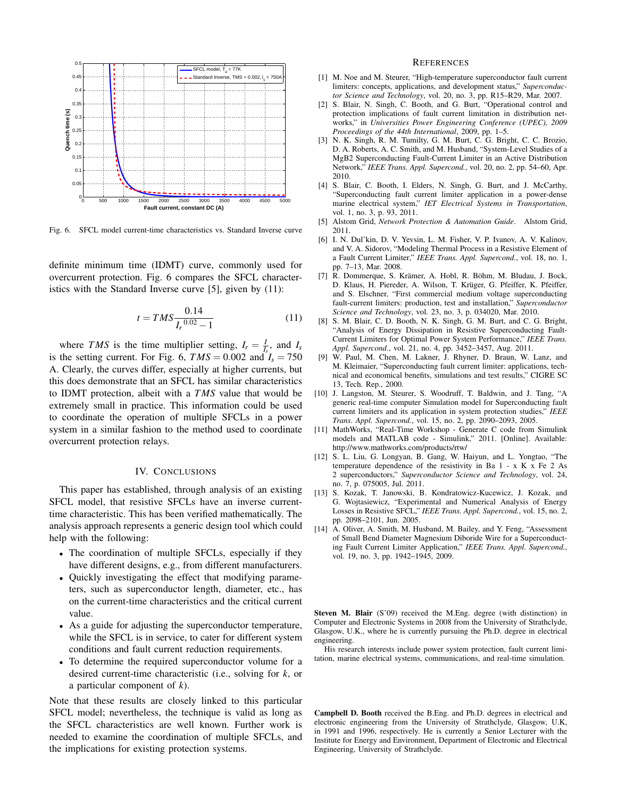

Fig. 6. SFCL model current-time characteristics vs. Standard Inverse curve

definite minimum time (IDMT) curve, commonly used for overcurrent protection. Fig. 6 compares the SFCL characteristics with the Standard Inverse curve [5], given by (11):

$$
t = TMS \frac{0.14}{I_r^{0.02} - 1}
$$
 (11)

where *TMS* is the time multiplier setting,  $I_r = \frac{I}{I_s}$ , and  $I_s$ is the setting current. For Fig. 6,  $TMS = 0.002$  and  $I_s = 750$ A. Clearly, the curves differ, especially at higher currents, but this does demonstrate that an SFCL has similar characteristics to IDMT protection, albeit with a *TMS* value that would be extremely small in practice. This information could be used to coordinate the operation of multiple SFCLs in a power system in a similar fashion to the method used to coordinate overcurrent protection relays.

### IV. CONCLUSIONS

This paper has established, through analysis of an existing SFCL model, that resistive SFCLs have an inverse currenttime characteristic. This has been verified mathematically. The analysis approach represents a generic design tool which could help with the following:

- The coordination of multiple SFCLs, especially if they have different designs, e.g., from different manufacturers.
- Quickly investigating the effect that modifying parameters, such as superconductor length, diameter, etc., has on the current-time characteristics and the critical current value.
- As a guide for adjusting the superconductor temperature, while the SFCL is in service, to cater for different system conditions and fault current reduction requirements.
- To determine the required superconductor volume for a desired current-time characteristic (i.e., solving for *k*, or a particular component of *k*).

Note that these results are closely linked to this particular SFCL model; nevertheless, the technique is valid as long as the SFCL characteristics are well known. Further work is needed to examine the coordination of multiple SFCLs, and the implications for existing protection systems.

#### **REFERENCES**

- [1] M. Noe and M. Steurer, "High-temperature superconductor fault current limiters: concepts, applications, and development status," *Superconductor Science and Technology*, vol. 20, no. 3, pp. R15–R29, Mar. 2007.
- [2] S. Blair, N. Singh, C. Booth, and G. Burt, "Operational control and protection implications of fault current limitation in distribution networks," in *Universities Power Engineering Conference (UPEC), 2009 Proceedings of the 44th International*, 2009, pp. 1–5.
- [3] N. K. Singh, R. M. Tumilty, G. M. Burt, C. G. Bright, C. C. Brozio, D. A. Roberts, A. C. Smith, and M. Husband, "System-Level Studies of a MgB2 Superconducting Fault-Current Limiter in an Active Distribution Network," *IEEE Trans. Appl. Supercond.*, vol. 20, no. 2, pp. 54–60, Apr. 2010.
- [4] S. Blair, C. Booth, I. Elders, N. Singh, G. Burt, and J. McCarthy, "Superconducting fault current limiter application in a power-dense marine electrical system," *IET Electrical Systems in Transportation*, vol. 1, no. 3, p. 93, 2011.
- [5] Alstom Grid, *Network Protection & Automation Guide*. Alstom Grid, 2011.
- [6] I. N. Dul'kin, D. V. Yevsin, L. M. Fisher, V. P. Ivanov, A. V. Kalinov, and V. A. Sidorov, "Modeling Thermal Process in a Resistive Element of a Fault Current Limiter," *IEEE Trans. Appl. Supercond.*, vol. 18, no. 1, pp. 7–13, Mar. 2008.
- [7] R. Dommerque, S. Krämer, A. Hobl, R. Böhm, M. Bludau, J. Bock, D. Klaus, H. Piereder, A. Wilson, T. Krüger, G. Pfeiffer, K. Pfeiffer, and S. Elschner, "First commercial medium voltage superconducting fault-current limiters: production, test and installation," *Superconductor Science and Technology*, vol. 23, no. 3, p. 034020, Mar. 2010.
- [8] S. M. Blair, C. D. Booth, N. K. Singh, G. M. Burt, and C. G. Bright, "Analysis of Energy Dissipation in Resistive Superconducting Fault-Current Limiters for Optimal Power System Performance," *IEEE Trans. Appl. Supercond.*, vol. 21, no. 4, pp. 3452–3457, Aug. 2011.
- [9] W. Paul, M. Chen, M. Lakner, J. Rhyner, D. Braun, W. Lanz, and M. Kleimaier, "Superconducting fault current limiter: applications, technical and economical benefits, simulations and test results," CIGRE SC 13, Tech. Rep., 2000.
- [10] J. Langston, M. Steurer, S. Woodruff, T. Baldwin, and J. Tang, "A generic real-time computer Simulation model for Superconducting fault current limiters and its application in system protection studies," *IEEE Trans. Appl. Supercond.*, vol. 15, no. 2, pp. 2090–2093, 2005.
- [11] MathWorks, "Real-Time Workshop Generate C code from Simulink models and MATLAB code - Simulink," 2011. [Online]. Available: http://www.mathworks.com/products/rtw/
- [12] S. L. Liu, G. Longyan, B. Gang, W. Haiyun, and L. Yongtao, "The temperature dependence of the resistivity in Ba  $1 - x$  K  $x$  Fe 2 As 2 superconductors," *Superconductor Science and Technology*, vol. 24, no. 7, p. 075005, Jul. 2011.
- [13] S. Kozak, T. Janowski, B. Kondratowicz-Kucewicz, J. Kozak, and G. Wojtasiewicz, "Experimental and Numerical Analysis of Energy Losses in Resistive SFCL," *IEEE Trans. Appl. Supercond.*, vol. 15, no. 2, pp. 2098–2101, Jun. 2005.
- [14] A. Oliver, A. Smith, M. Husband, M. Bailey, and Y. Feng, "Assessment of Small Bend Diameter Magnesium Diboride Wire for a Superconducting Fault Current Limiter Application," *IEEE Trans. Appl. Supercond.*, vol. 19, no. 3, pp. 1942–1945, 2009.

Steven M. Blair (S'09) received the M.Eng. degree (with distinction) in Computer and Electronic Systems in 2008 from the University of Strathclyde, Glasgow, U.K., where he is currently pursuing the Ph.D. degree in electrical engineering.

His research interests include power system protection, fault current limitation, marine electrical systems, communications, and real-time simulation.

Campbell D. Booth received the B.Eng. and Ph.D. degrees in electrical and electronic engineering from the University of Strathclyde, Glasgow, U.K, in 1991 and 1996, respectively. He is currently a Senior Lecturer with the Institute for Energy and Environment, Department of Electronic and Electrical Engineering, University of Strathclyde.